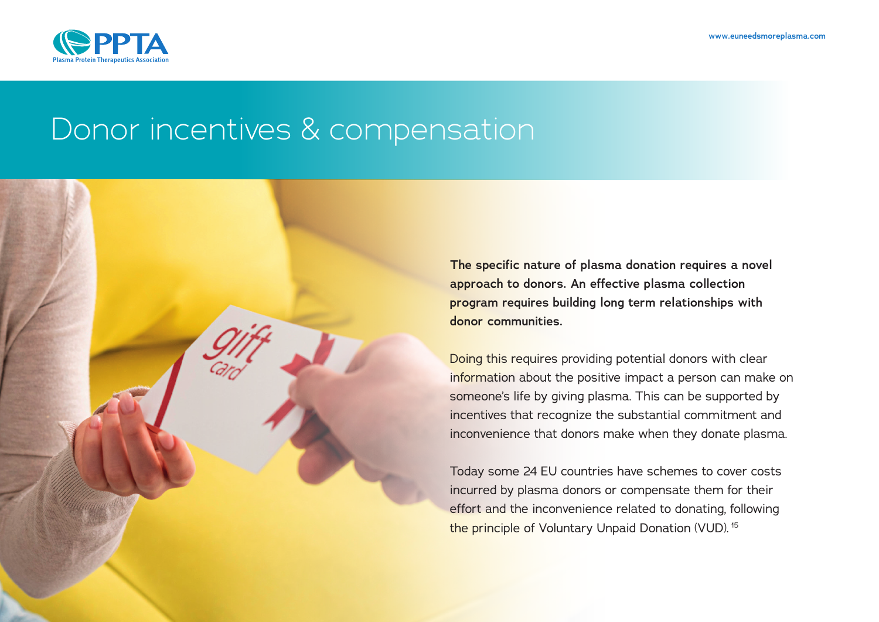

# Donor incentives & compensation

**The specific nature of plasma donation requires a novel approach to donors. An effective plasma collection program requires building long term relationships with donor communities.**

Doing this requires providing potential donors with clear information about the positive impact a person can make on someone's life by giving plasma. This can be supported by incentives that recognize the substantial commitment and inconvenience that donors make when they donate plasma.

Today some 24 EU countries have schemes to cover costs incurred by plasma donors or compensate them for their effort and the inconvenience related to donating, following the principle of Voluntary Unpaid Donation (VUD). <sup>15</sup>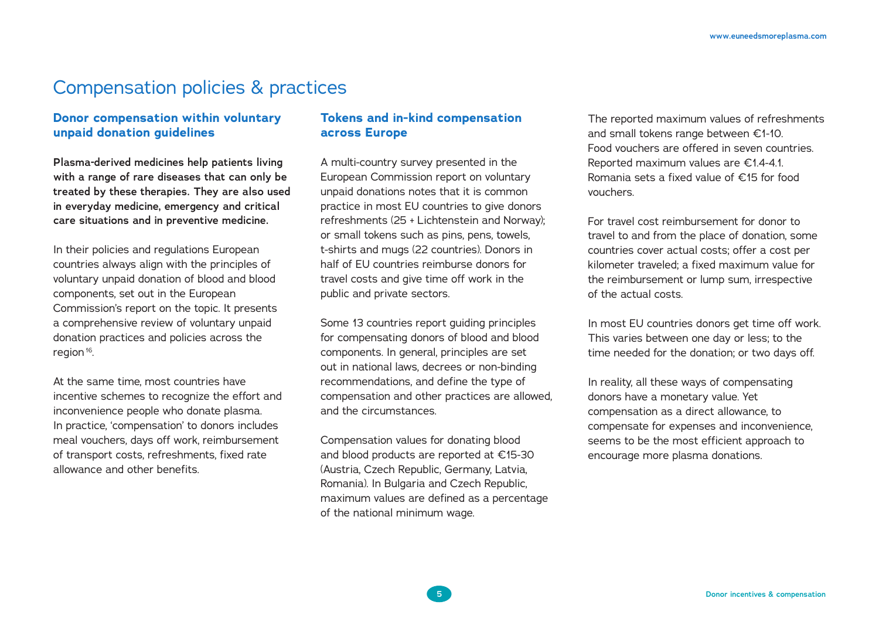## Compensation policies & practices

### **Donor compensation within voluntary unpaid donation guidelines**

**Plasma-derived medicines help patients living with a range of rare diseases that can only be treated by these therapies. They are also used in everyday medicine, emergency and critical care situations and in preventive medicine.** 

In their policies and regulations European countries always align with the principles of voluntary unpaid donation of blood and blood components, set out in the European Commission's report on the topic. It presents a comprehensive review of voluntary unpaid donation practices and policies across the region<sup>16</sup>.

At the same time, most countries have incentive schemes to recognize the effort and inconvenience people who donate plasma. In practice, 'compensation' to donors includes meal vouchers, days off work, reimbursement of transport costs, refreshments, fixed rate allowance and other benefits.

### **Tokens and in-kind compensation across Europe**

A multi-country survey presented in the European Commission report on voluntary unpaid donations notes that it is common practice in most EU countries to give donors refreshments (25 + Lichtenstein and Norway); or small tokens such as pins, pens, towels, t-shirts and mugs (22 countries). Donors in half of EU countries reimburse donors for travel costs and give time off work in the public and private sectors.

Some 13 countries report guiding principles for compensating donors of blood and blood components. In general, principles are set out in national laws, decrees or non-binding recommendations, and define the type of compensation and other practices are allowed, and the circumstances.

Compensation values for donating blood and blood products are reported at €15-30 (Austria, Czech Republic, Germany, Latvia, Romania). In Bulgaria and Czech Republic, maximum values are defined as a percentage of the national minimum wage.

The reported maximum values of refreshments and small tokens range between €1-10. Food vouchers are offered in seven countries. Reported maximum values are €1.4-4.1. Romania sets a fixed value of €15 for food vouchers.

For travel cost reimbursement for donor to travel to and from the place of donation, some countries cover actual costs; offer a cost per kilometer traveled; a fixed maximum value for the reimbursement or lump sum, irrespective of the actual costs.

In most EU countries donors get time off work. This varies between one day or less; to the time needed for the donation; or two days off.

In reality, all these ways of compensating donors have a monetary value. Yet compensation as a direct allowance, to compensate for expenses and inconvenience, seems to be the most efficient approach to encourage more plasma donations.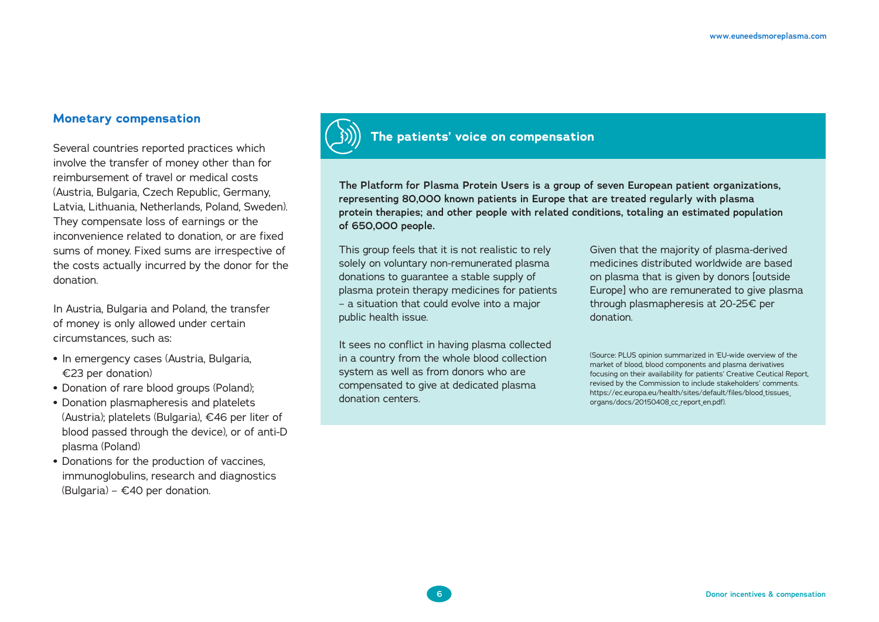### **Monetary compensation**

Several countries reported practices which involve the transfer of money other than for reimbursement of travel or medical costs (Austria, Bulgaria, Czech Republic, Germany, Latvia, Lithuania, Netherlands, Poland, Sweden). They compensate loss of earnings or the inconvenience related to donation, or are fixed sums of money. Fixed sums are irrespective of the costs actually incurred by the donor for the donation.

In Austria, Bulgaria and Poland, the transfer of money is only allowed under certain circumstances, such as:

- **•** In emergency cases (Austria, Bulgaria, €23 per donation)
- **•** Donation of rare blood groups (Poland);
- **•** Donation plasmapheresis and platelets (Austria); platelets (Bulgaria), €46 per liter of blood passed through the device), or of anti-D plasma (Poland)
- **•** Donations for the production of vaccines, immunoglobulins, research and diagnostics (Bulgaria) – €40 per donation.



### **The patients' voice on compensation**

**The Platform for Plasma Protein Users is a group of seven European patient organizations, representing 80,000 known patients in Europe that are treated regularly with plasma protein therapies; and other people with related conditions, totaling an estimated population of 650,000 people.**

This group feels that it is not realistic to rely solely on voluntary non-remunerated plasma donations to guarantee a stable supply of plasma protein therapy medicines for patients – a situation that could evolve into a major public health issue.

It sees no conflict in having plasma collected in a country from the whole blood collection system as well as from donors who are compensated to give at dedicated plasma donation centers.

Given that the majority of plasma-derived medicines distributed worldwide are based on plasma that is given by donors [outside Europe] who are remunerated to give plasma through plasmapheresis at 20-25€ per donation.

(Source: PLUS opinion summarized in 'EU-wide overview of the market of blood, blood components and plasma derivatives focusing on their availability for patients' Creative Ceutical Report, revised by the Commission to include stakeholders' comments. https://ec.europa.eu/health/sites/default/files/blood\_tissues\_ organs/docs/20150408 cc report en.pdf).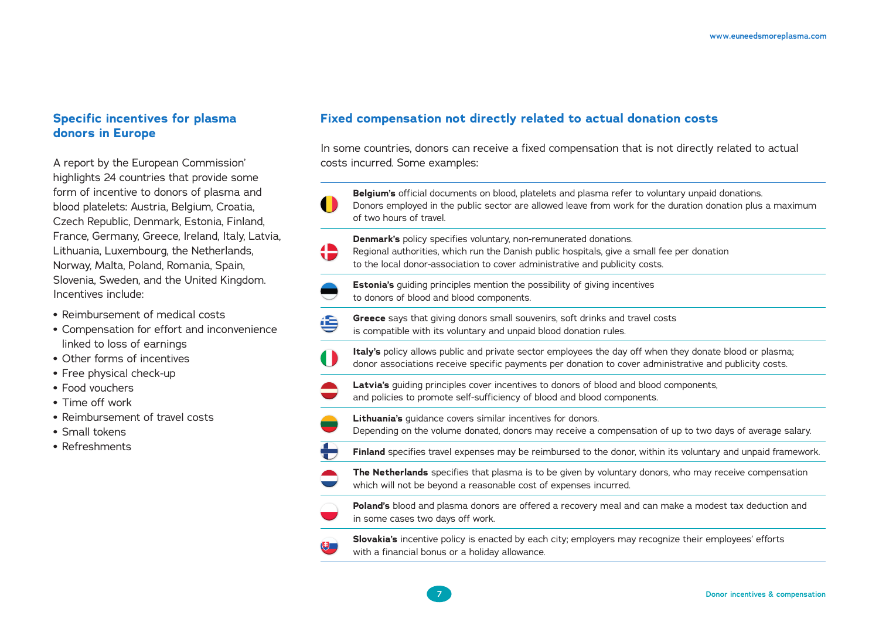### **Specific incentives for plasma donors in Europe**

A report by the European Commission' highlights 24 countries that provide some form of incentive to donors of plasma and blood platelets: Austria, Belgium, Croatia, Czech Republic, Denmark, Estonia, Finland, France, Germany, Greece, Ireland, Italy, Latvia, Lithuania, Luxembourg, the Netherlands, Norway, Malta, Poland, Romania, Spain, Slovenia, Sweden, and the United Kingdom. Incentives include:

- **•** Reimbursement of medical costs
- **•** Compensation for effort and inconvenience linked to loss of earnings
- **•** Other forms of incentives
- **•** Free physical check-up
- **•** Food vouchers
- **•** Time off work
- **•** Reimbursement of travel costs
- **•** Small tokens
- **•** Refreshments

### **Fixed compensation not directly related to actual donation costs**

In some countries, donors can receive a fixed compensation that is not directly related to actual costs incurred. Some examples:



⊜ **Greece** says that giving donors small souvenirs, soft drinks and travel costs is compatible with its voluntary and unpaid blood donation rules.

**Italy's** policy allows public and private sector employees the day off when they donate blood or plasma; 0 donor associations receive specific payments per donation to cover administrative and publicity costs.

**Latvia's** guiding principles cover incentives to donors of blood and blood components, and policies to promote self-sufficiency of blood and blood components.

**Lithuania's** guidance covers similar incentives for donors.

**7**

Depending on the volume donated, donors may receive a compensation of up to two days of average salary.

 $\bigoplus$ **Finland** specifies travel expenses may be reimbursed to the donor, within its voluntary and unpaid framework.



**TE** 

**The Netherlands** specifies that plasma is to be given by voluntary donors, who may receive compensation which will not be beyond a reasonable cost of expenses incurred.



**Poland's** blood and plasma donors are offered a recovery meal and can make a modest tax deduction and in some cases two days off work.

(サ

**Slovakia's** incentive policy is enacted by each city; employers may recognize their employees' efforts with a financial bonus or a holiday allowance.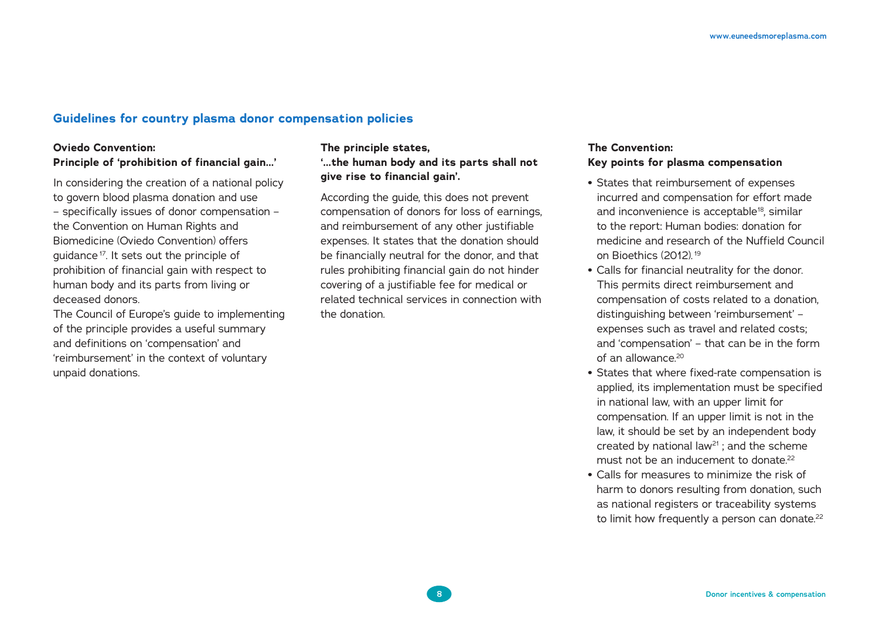### **Guidelines for country plasma donor compensation policies**

### **Oviedo Convention: Principle of 'prohibition of financial gain…'**

In considering the creation of a national policy to govern blood plasma donation and use – specifically issues of donor compensation – the Convention on Human Rights and Biomedicine (Oviedo Convention) offers quidance<sup>17</sup>. It sets out the principle of prohibition of financial gain with respect to human body and its parts from living or deceased donors.

The Council of Europe's guide to implementing of the principle provides a useful summary and definitions on 'compensation' and 'reimbursement' in the context of voluntary unpaid donations.

### **The principle states, '…the human body and its parts shall not give rise to financial gain'.**

According the guide, this does not prevent compensation of donors for loss of earnings, and reimbursement of any other justifiable expenses. It states that the donation should be financially neutral for the donor, and that rules prohibiting financial gain do not hinder covering of a justifiable fee for medical or related technical services in connection with the donation.

### **The Convention: Key points for plasma compensation**

- **•** States that reimbursement of expenses incurred and compensation for effort made and inconvenience is acceptable<sup>18</sup>, similar to the report: Human bodies: donation for medicine and research of the Nuffield Council on Bioethics (2012).<sup>19</sup>
- **•** Calls for financial neutrality for the donor. This permits direct reimbursement and compensation of costs related to a donation, distinguishing between 'reimbursement' – expenses such as travel and related costs; and 'compensation' – that can be in the form of an allowance $20$
- **•** States that where fixed-rate compensation is applied, its implementation must be specified in national law, with an upper limit for compensation. If an upper limit is not in the law, it should be set by an independent body created by national law21 ; and the scheme must not be an inducement to donate  $22$
- **•** Calls for measures to minimize the risk of harm to donors resulting from donation, such as national registers or traceability systems to limit how frequently a person can donate.<sup>22</sup>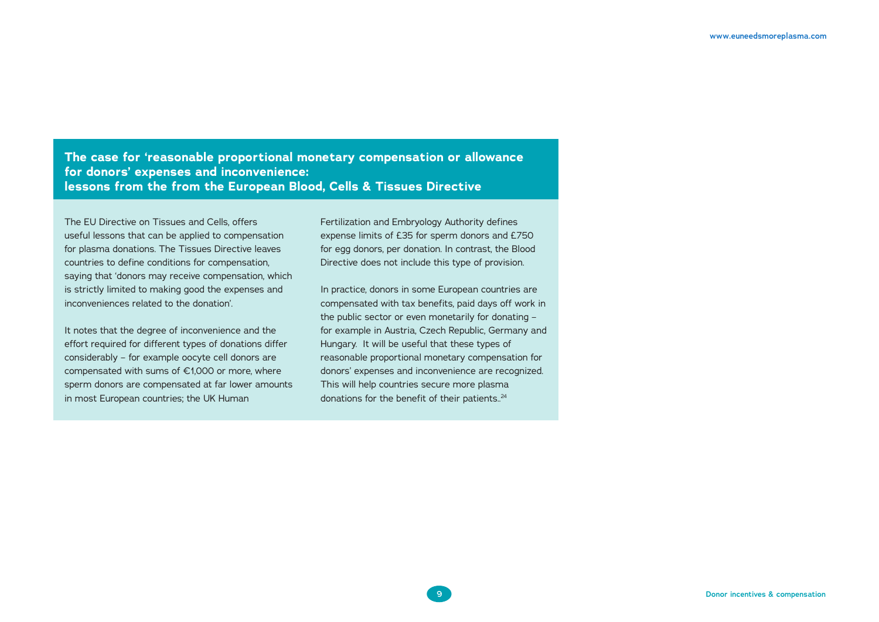**The case for 'reasonable proportional monetary compensation or allowance for donors' expenses and inconvenience: lessons from the from the European Blood, Cells & Tissues Directive** 

The EU Directive on Tissues and Cells, offers useful lessons that can be applied to compensation for plasma donations. The Tissues Directive leaves countries to define conditions for compensation, saying that 'donors may receive compensation, which is strictly limited to making good the expenses and inconveniences related to the donation'.

It notes that the degree of inconvenience and the effort required for different types of donations differ considerably – for example oocyte cell donors are compensated with sums of €1,000 or more, where sperm donors are compensated at far lower amounts in most European countries; the UK Human

Fertilization and Embryology Authority defines expense limits of £35 for sperm donors and £750 for egg donors, per donation. In contrast, the Blood Directive does not include this type of provision.

In practice, donors in some European countries are compensated with tax benefits, paid days off work in the public sector or even monetarily for donating – for example in Austria, Czech Republic, Germany and Hungary. It will be useful that these types of reasonable proportional monetary compensation for donors' expenses and inconvenience are recognized. This will help countries secure more plasma donations for the benefit of their patients..<sup>24</sup>